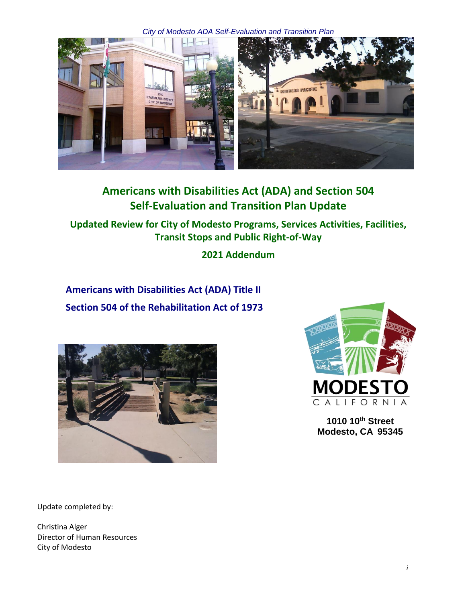*City of Modesto ADA Self-Evaluation and Transition Plan*



# **Americans with Disabilities Act (ADA) and Section 504 Self-Evaluation and Transition Plan Update**

**Updated Review for City of Modesto Programs, Services Activities, Facilities, Transit Stops and Public Right-of-Way**

**2021 Addendum**

**Americans with Disabilities Act (ADA) Title II Section 504 of the Rehabilitation Act of 1973**





**1010 10th Street Modesto, CA 95345**

Update completed by:

Christina Alger Director of Human Resources City of Modesto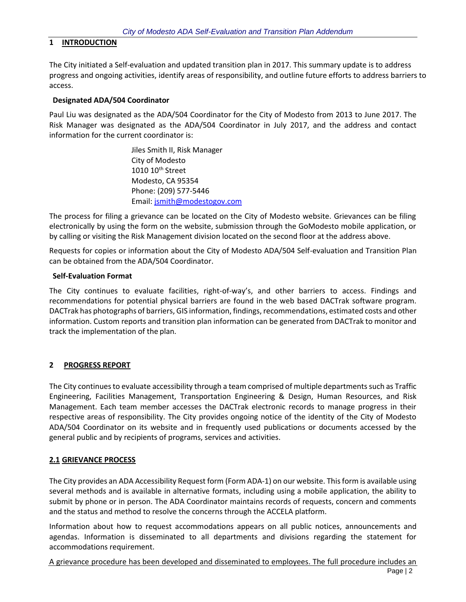## **1 INTRODUCTION**

The City initiated a Self-evaluation and updated transition plan in 2017. This summary update is to address progress and ongoing activities, identify areas of responsibility, and outline future efforts to address barriers to access.

#### **Designated ADA/504 Coordinator**

Paul Liu was designated as the ADA/504 Coordinator for the City of Modesto from 2013 to June 2017. The Risk Manager was designated as the ADA/504 Coordinator in July 2017, and the address and contact information for the current coordinator is:

> Jiles Smith II, Risk Manager City of Modesto 1010 10<sup>th</sup> Street Modesto, CA 95354 Phone: (209) 577-5446 Email[: jsmith@modestogov.com](mailto:jsmith@modestogov.com)

The process for filing a grievance can be located on the City of Modesto website. Grievances can be filing electronically by using the form on the website, submission through the GoModesto mobile application, or by calling or visiting the Risk Management division located on the second floor at the address above.

Requests for copies or information about the City of Modesto ADA/504 Self-evaluation and Transition Plan can be obtained from the ADA/504 Coordinator.

#### **Self-Evaluation Format**

The City continues to evaluate facilities, right-of-way's, and other barriers to access. Findings and recommendations for potential physical barriers are found in the web based DACTrak software program. DACTrak has photographs of barriers, GIS information, findings, recommendations, estimated costs and other information. Custom reports and transition plan information can be generated from DACTrak to monitor and track the implementation of the plan.

## **2 PROGRESS REPORT**

The City continues to evaluate accessibility through a team comprised of multiple departments such as Traffic Engineering, Facilities Management, Transportation Engineering & Design, Human Resources, and Risk Management. Each team member accesses the DACTrak electronic records to manage progress in their respective areas of responsibility. The City provides ongoing notice of the identity of the City of Modesto ADA/504 Coordinator on its website and in frequently used publications or documents accessed by the general public and by recipients of programs, services and activities.

## **2.1 GRIEVANCE PROCESS**

The City provides an ADA Accessibility Request form (Form ADA‐1) on our website. This form is available using several methods and is available in alternative formats, including using a mobile application, the ability to submit by phone or in person. The ADA Coordinator maintains records of requests, concern and comments and the status and method to resolve the concerns through the ACCELA platform.

Information about how to request accommodations appears on all public notices, announcements and agendas. Information is disseminated to all departments and divisions regarding the statement for accommodations requirement.

A grievance procedure has been developed and disseminated to employees. The full procedure includes an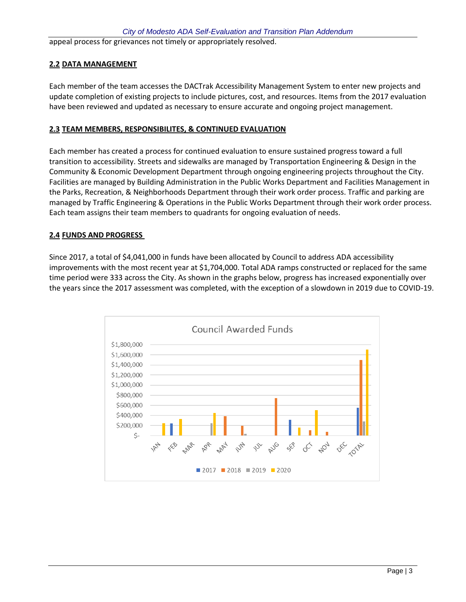appeal process for grievances not timely or appropriately resolved.

# **2.2 DATA MANAGEMENT**

Each member of the team accesses the DACTrak Accessibility Management System to enter new projects and update completion of existing projects to include pictures, cost, and resources. Items from the 2017 evaluation have been reviewed and updated as necessary to ensure accurate and ongoing project management.

# **2.3 TEAM MEMBERS, RESPONSIBILITES, & CONTINUED EVALUATION**

Each member has created a process for continued evaluation to ensure sustained progress toward a full transition to accessibility. Streets and sidewalks are managed by Transportation Engineering & Design in the Community & Economic Development Department through ongoing engineering projects throughout the City. Facilities are managed by Building Administration in the Public Works Department and Facilities Management in the Parks, Recreation, & Neighborhoods Department through their work order process. Traffic and parking are managed by Traffic Engineering & Operations in the Public Works Department through their work order process. Each team assigns their team members to quadrants for ongoing evaluation of needs.

## **2.4 FUNDS AND PROGRESS**

Since 2017, a total of \$4,041,000 in funds have been allocated by Council to address ADA accessibility improvements with the most recent year at \$1,704,000. Total ADA ramps constructed or replaced for the same time period were 333 across the City. As shown in the graphs below, progress has increased exponentially over the years since the 2017 assessment was completed, with the exception of a slowdown in 2019 due to COVID-19.